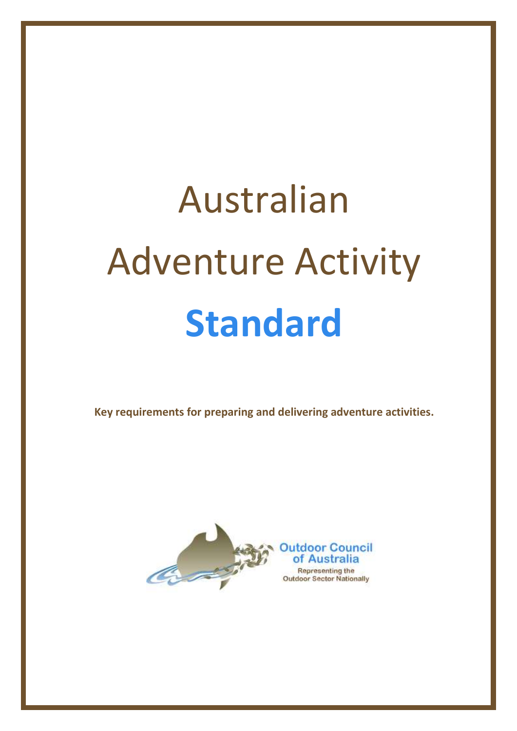# Australian Adventure Activity **Standard**

**Key requirements for preparing and delivering adventure activities.**

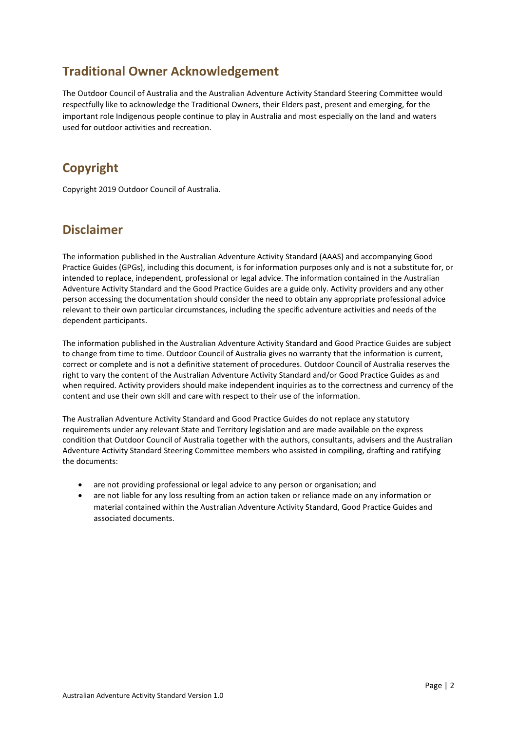#### **Traditional Owner Acknowledgement**

The Outdoor Council of Australia and the Australian Adventure Activity Standard Steering Committee would respectfully like to acknowledge the Traditional Owners, their Elders past, present and emerging, for the important role Indigenous people continue to play in Australia and most especially on the land and waters used for outdoor activities and recreation.

#### **Copyright**

Copyright 2019 Outdoor Council of Australia.

#### **Disclaimer**

The information published in the Australian Adventure Activity Standard (AAAS) and accompanying Good Practice Guides (GPGs), including this document, is for information purposes only and is not a substitute for, or intended to replace, independent, professional or legal advice. The information contained in the Australian Adventure Activity Standard and the Good Practice Guides are a guide only. Activity providers and any other person accessing the documentation should consider the need to obtain any appropriate professional advice relevant to their own particular circumstances, including the specific adventure activities and needs of the dependent participants.

The information published in the Australian Adventure Activity Standard and Good Practice Guides are subject to change from time to time. Outdoor Council of Australia gives no warranty that the information is current, correct or complete and is not a definitive statement of procedures. Outdoor Council of Australia reserves the right to vary the content of the Australian Adventure Activity Standard and/or Good Practice Guides as and when required. Activity providers should make independent inquiries as to the correctness and currency of the content and use their own skill and care with respect to their use of the information.

The Australian Adventure Activity Standard and Good Practice Guides do not replace any statutory requirements under any relevant State and Territory legislation and are made available on the express condition that Outdoor Council of Australia together with the authors, consultants, advisers and the Australian Adventure Activity Standard Steering Committee members who assisted in compiling, drafting and ratifying the documents:

- are not providing professional or legal advice to any person or organisation; and
- are not liable for any loss resulting from an action taken or reliance made on any information or material contained within the Australian Adventure Activity Standard, Good Practice Guides and associated documents.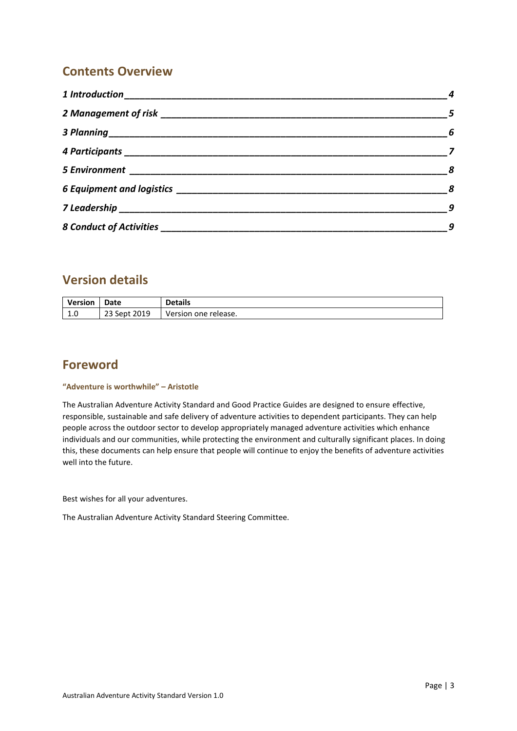#### **Contents Overview**

| $\sim$ 4                   |
|----------------------------|
| $\overline{\phantom{0}}$   |
| $\overline{\phantom{a}}$ 6 |
|                            |
|                            |
| $\sim$ 8                   |
| 9                          |
| 9                          |

#### **Version details**

| Version | Date         | <b>Details</b>       |
|---------|--------------|----------------------|
| 1.0     | 23 Sept 2019 | Version one release. |

#### **Foreword**

#### **"Adventure is worthwhile" – Aristotle**

The Australian Adventure Activity Standard and Good Practice Guides are designed to ensure effective, responsible, sustainable and safe delivery of adventure activities to dependent participants. They can help people across the outdoor sector to develop appropriately managed adventure activities which enhance individuals and our communities, while protecting the environment and culturally significant places. In doing this, these documents can help ensure that people will continue to enjoy the benefits of adventure activities well into the future.

Best wishes for all your adventures.

The Australian Adventure Activity Standard Steering Committee.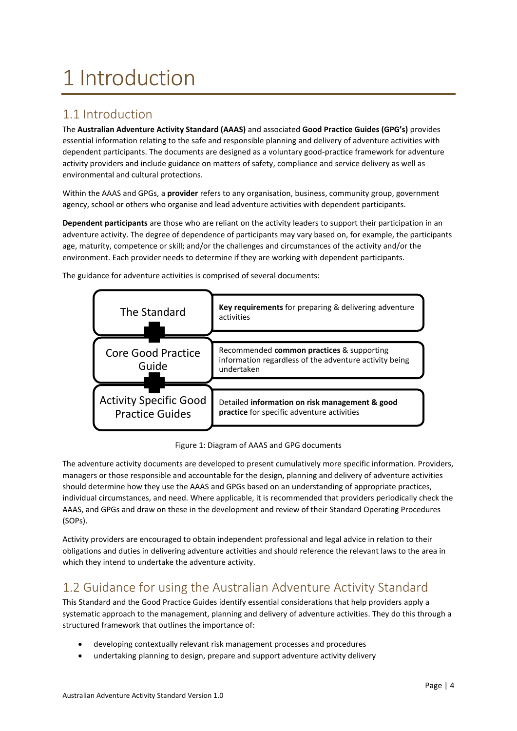# <span id="page-3-0"></span>1 Introduction

#### 1.1 Introduction

The **Australian Adventure Activity Standard (AAAS)** and associated **Good Practice Guides (GPG's)** provides essential information relating to the safe and responsible planning and delivery of adventure activities with dependent participants. The documents are designed as a voluntary good-practice framework for adventure activity providers and include guidance on matters of safety, compliance and service delivery as well as environmental and cultural protections.

Within the AAAS and GPGs, a **provider** refers to any organisation, business, community group, government agency, school or others who organise and lead adventure activities with dependent participants.

**Dependent participants** are those who are reliant on the activity leaders to support their participation in an adventure activity. The degree of dependence of participants may vary based on, for example, the participants age, maturity, competence or skill; and/or the challenges and circumstances of the activity and/or the environment. Each provider needs to determine if they are working with dependent participants.



The guidance for adventure activities is comprised of several documents:

Figure 1: Diagram of AAAS and GPG documents

The adventure activity documents are developed to present cumulatively more specific information. Providers, managers or those responsible and accountable for the design, planning and delivery of adventure activities should determine how they use the AAAS and GPGs based on an understanding of appropriate practices, individual circumstances, and need. Where applicable, it is recommended that providers periodically check the AAAS, and GPGs and draw on these in the development and review of their Standard Operating Procedures (SOPs).

Activity providers are encouraged to obtain independent professional and legal advice in relation to their obligations and duties in delivering adventure activities and should reference the relevant laws to the area in which they intend to undertake the adventure activity.

#### 1.2 Guidance for using the Australian Adventure Activity Standard

This Standard and the Good Practice Guides identify essential considerations that help providers apply a systematic approach to the management, planning and delivery of adventure activities. They do this through a structured framework that outlines the importance of:

- developing contextually relevant risk management processes and procedures
- undertaking planning to design, prepare and support adventure activity delivery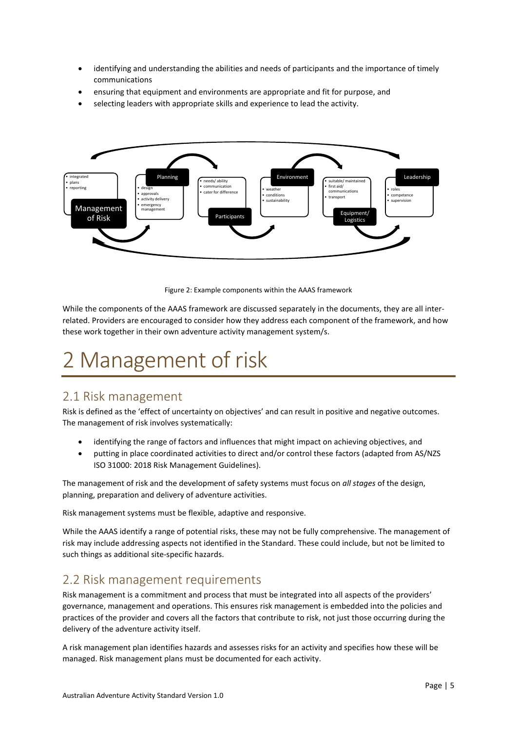- identifying and understanding the abilities and needs of participants and the importance of timely communications
- ensuring that equipment and environments are appropriate and fit for purpose, and
- selecting leaders with appropriate skills and experience to lead the activity.



Figure 2: Example components within the AAAS framework

While the components of the AAAS framework are discussed separately in the documents, they are all interrelated. Providers are encouraged to consider how they address each component of the framework, and how these work together in their own adventure activity management system/s.

# <span id="page-4-0"></span>2 Management of risk

#### 2.1 Risk management

Risk is defined as the 'effect of uncertainty on objectives' and can result in positive and negative outcomes. The management of risk involves systematically:

- identifying the range of factors and influences that might impact on achieving objectives, and
- putting in place coordinated activities to direct and/or control these factors (adapted from AS/NZS ISO 31000: 2018 Risk Management Guidelines).

The management of risk and the development of safety systems must focus on *all stages* of the design, planning, preparation and delivery of adventure activities.

Risk management systems must be flexible, adaptive and responsive.

While the AAAS identify a range of potential risks, these may not be fully comprehensive. The management of risk may include addressing aspects not identified in the Standard. These could include, but not be limited to such things as additional site-specific hazards.

#### 2.2 Risk management requirements

Risk management is a commitment and process that must be integrated into all aspects of the providers' governance, management and operations. This ensures risk management is embedded into the policies and practices of the provider and covers all the factors that contribute to risk, not just those occurring during the delivery of the adventure activity itself.

A risk management plan identifies hazards and assesses risks for an activity and specifies how these will be managed. Risk management plans must be documented for each activity.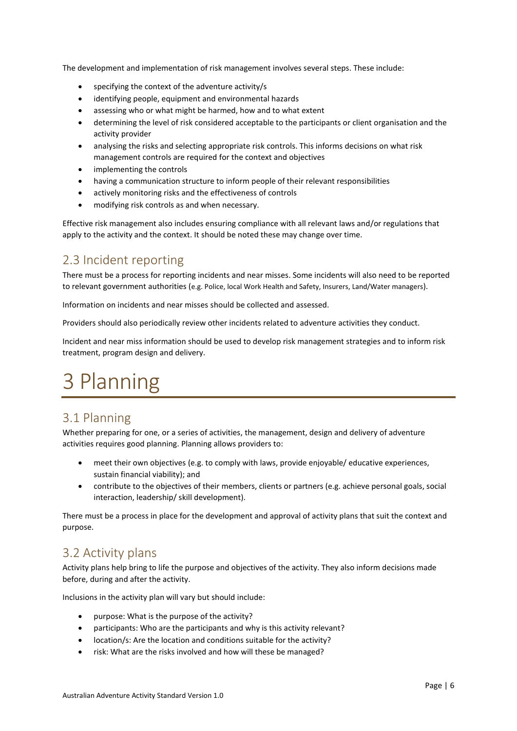The development and implementation of risk management involves several steps. These include:

- specifying the context of the adventure activity/s
- identifying people, equipment and environmental hazards
- assessing who or what might be harmed, how and to what extent
- determining the level of risk considered acceptable to the participants or client organisation and the activity provider
- analysing the risks and selecting appropriate risk controls. This informs decisions on what risk management controls are required for the context and objectives
- implementing the controls
- having a communication structure to inform people of their relevant responsibilities
- actively monitoring risks and the effectiveness of controls
- modifying risk controls as and when necessary.

Effective risk management also includes ensuring compliance with all relevant laws and/or regulations that apply to the activity and the context. It should be noted these may change over time.

#### 2.3 Incident reporting

There must be a process for reporting incidents and near misses. Some incidents will also need to be reported to relevant government authorities (e.g. Police, local Work Health and Safety, Insurers, Land/Water managers).

Information on incidents and near misses should be collected and assessed.

Providers should also periodically review other incidents related to adventure activities they conduct.

Incident and near miss information should be used to develop risk management strategies and to inform risk treatment, program design and delivery.

### <span id="page-5-0"></span>3 Planning

#### 3.1 Planning

Whether preparing for one, or a series of activities, the management, design and delivery of adventure activities requires good planning. Planning allows providers to:

- meet their own objectives (e.g. to comply with laws, provide enjoyable/ educative experiences, sustain financial viability); and
- contribute to the objectives of their members, clients or partners (e.g. achieve personal goals, social interaction, leadership/ skill development).

There must be a process in place for the development and approval of activity plans that suit the context and purpose.

#### 3.2 Activity plans

Activity plans help bring to life the purpose and objectives of the activity. They also inform decisions made before, during and after the activity.

Inclusions in the activity plan will vary but should include:

- purpose: What is the purpose of the activity?
- participants: Who are the participants and why is this activity relevant?
- location/s: Are the location and conditions suitable for the activity?
- risk: What are the risks involved and how will these be managed?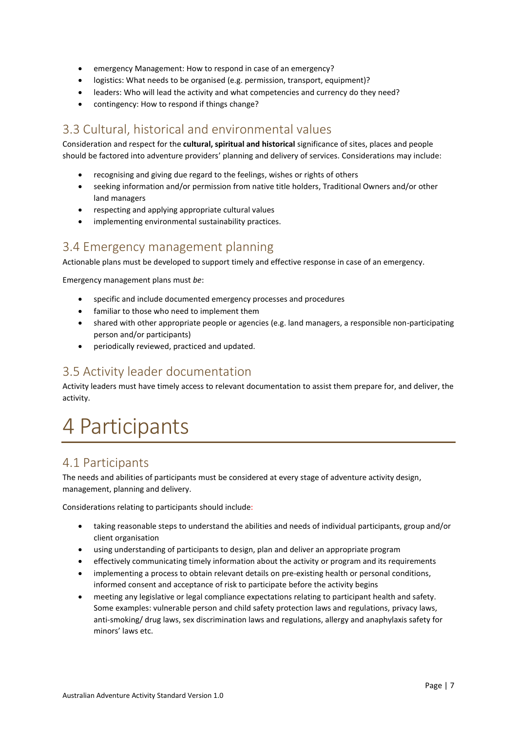- emergency Management: How to respond in case of an emergency?
- logistics: What needs to be organised (e.g. permission, transport, equipment)?
- leaders: Who will lead the activity and what competencies and currency do they need?
- contingency: How to respond if things change?

#### 3.3 Cultural, historical and environmental values

Consideration and respect for the **cultural, spiritual and historical** significance of sites, places and people should be factored into adventure providers' planning and delivery of services. Considerations may include:

- recognising and giving due regard to the feelings, wishes or rights of others
- seeking information and/or permission from native title holders, Traditional Owners and/or other land managers
- respecting and applying appropriate cultural values
- implementing environmental sustainability practices.

#### 3.4 Emergency management planning

Actionable plans must be developed to support timely and effective response in case of an emergency.

Emergency management plans must *be*:

- specific and include documented emergency processes and procedures
- familiar to those who need to implement them
- shared with other appropriate people or agencies (e.g. land managers, a responsible non-participating person and/or participants)
- periodically reviewed, practiced and updated.

#### 3.5 Activity leader documentation

Activity leaders must have timely access to relevant documentation to assist them prepare for, and deliver, the activity.

### <span id="page-6-0"></span>4 Participants

#### 4.1 Participants

The needs and abilities of participants must be considered at every stage of adventure activity design, management, planning and delivery.

Considerations relating to participants should include:

- taking reasonable steps to understand the abilities and needs of individual participants, group and/or client organisation
- using understanding of participants to design, plan and deliver an appropriate program
- effectively communicating timely information about the activity or program and its requirements
- implementing a process to obtain relevant details on pre-existing health or personal conditions, informed consent and acceptance of risk to participate before the activity begins
- meeting any legislative or legal compliance expectations relating to participant health and safety. Some examples: vulnerable person and child safety protection laws and regulations, privacy laws, anti-smoking/ drug laws, sex discrimination laws and regulations, allergy and anaphylaxis safety for minors' laws etc.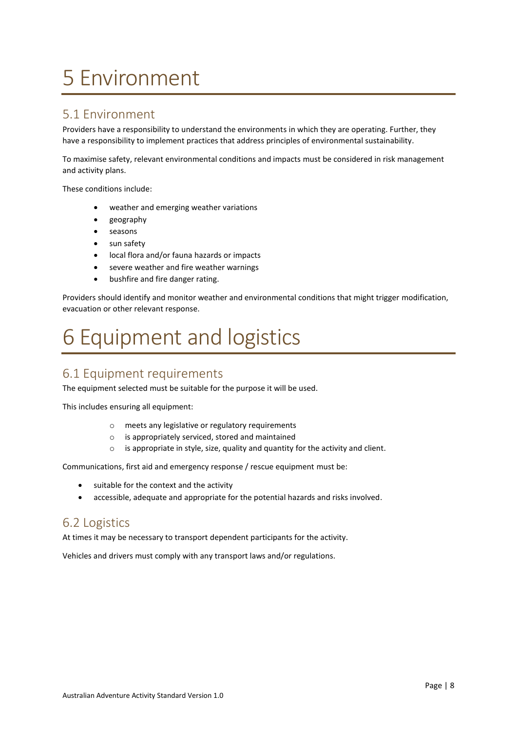# <span id="page-7-0"></span>5 Environment

#### 5.1 Environment

Providers have a responsibility to understand the environments in which they are operating. Further, they have a responsibility to implement practices that address principles of environmental sustainability.

To maximise safety, relevant environmental conditions and impacts must be considered in risk management and activity plans.

These conditions include:

- weather and emerging weather variations
- geography
- seasons
- sun safety
- local flora and/or fauna hazards or impacts
- severe weather and fire weather warnings
- bushfire and fire danger rating.

Providers should identify and monitor weather and environmental conditions that might trigger modification, evacuation or other relevant response.

# <span id="page-7-1"></span>6 Equipment and logistics

#### 6.1 Equipment requirements

The equipment selected must be suitable for the purpose it will be used.

This includes ensuring all equipment:

- o meets any legislative or regulatory requirements
- o is appropriately serviced, stored and maintained
- o is appropriate in style, size, quality and quantity for the activity and client.

Communications, first aid and emergency response / rescue equipment must be:

- suitable for the context and the activity
- accessible, adequate and appropriate for the potential hazards and risks involved.

#### 6.2 Logistics

At times it may be necessary to transport dependent participants for the activity.

Vehicles and drivers must comply with any transport laws and/or regulations.